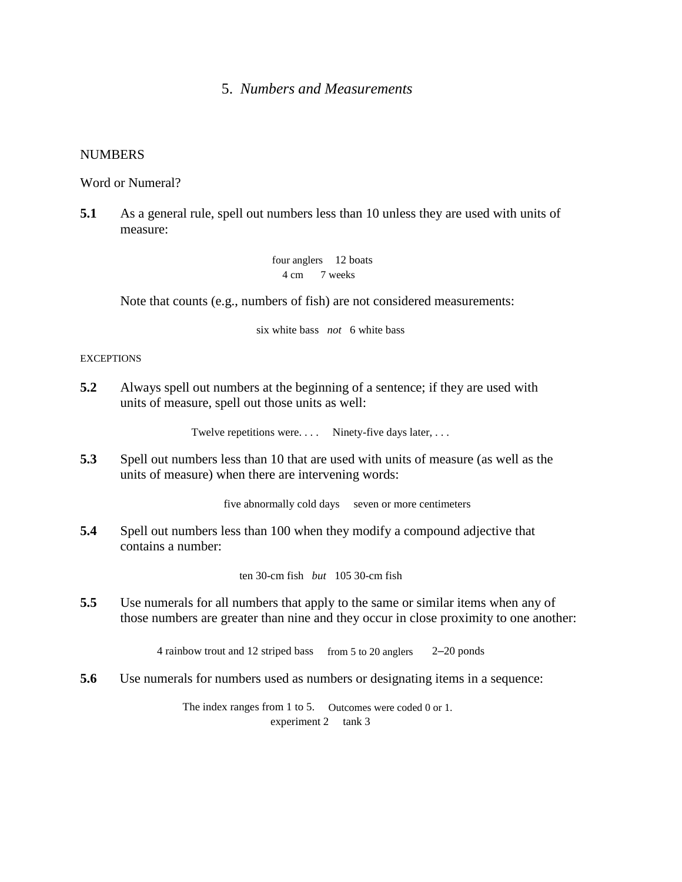# 5. *Numbers and Measurements*

### **NUMBERS**

Word or Numeral?

**5.1** As a general rule, spell out numbers less than 10 unless they are used with units of measure:

> four anglers 12 boats 4 cm 7 weeks

Note that counts (e.g., numbers of fish) are not considered measurements:

six white bass *not* 6 white bass

#### **EXCEPTIONS**

**5.2** Always spell out numbers at the beginning of a sentence; if they are used with units of measure, spell out those units as well:

Twelve repetitions were. . . . . Ninety-five days later, . . .

**5.3** Spell out numbers less than 10 that are used with units of measure (as well as the units of measure) when there are intervening words:

five abnormally cold days seven or more centimeters

**5.4** Spell out numbers less than 100 when they modify a compound adjective that contains a number:

ten 30-cm fish *but* 105 30-cm fish

**5.5** Use numerals for all numbers that apply to the same or similar items when any of those numbers are greater than nine and they occur in close proximity to one another:

4 rainbow trout and 12 striped bass from 5 to 20 anglers 2–20 ponds

**5.6** Use numerals for numbers used as numbers or designating items in a sequence:

The index ranges from 1 to 5. Outcomes were coded 0 or 1. experiment 2 tank 3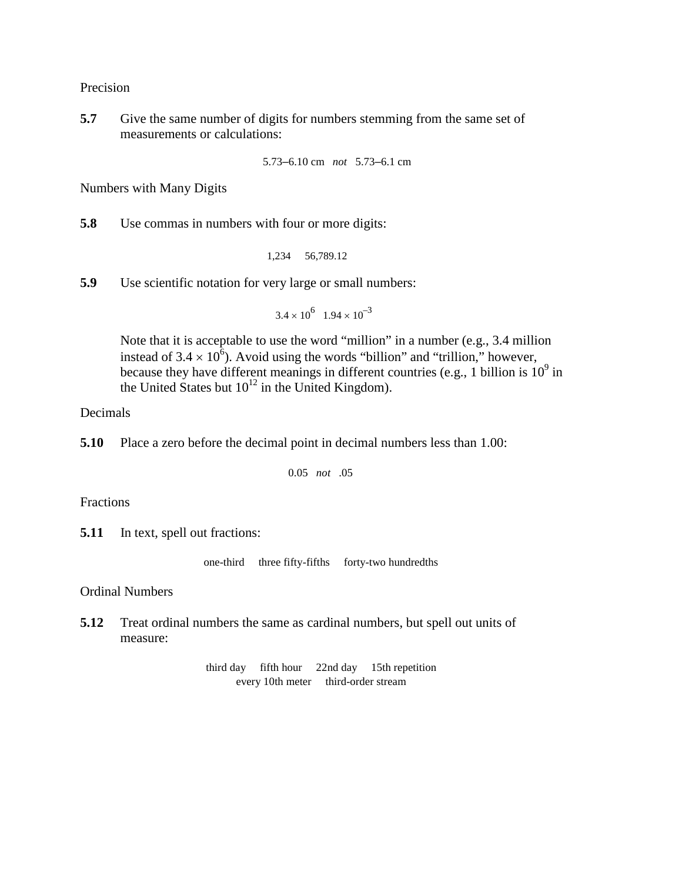Precision

**5.7** Give the same number of digits for numbers stemming from the same set of measurements or calculations:

```
5.73–6.10 cm not 5.73–6.1 cm
```
Numbers with Many Digits

**5.8** Use commas in numbers with four or more digits:

1,234 56,789.12

**5.9** Use scientific notation for very large or small numbers:

 $3.4 \times 10^6$   $1.94 \times 10^{-3}$ 

Note that it is acceptable to use the word "million" in a number (e.g., 3.4 million instead of  $3.4 \times 10^6$ ). Avoid using the words "billion" and "trillion," however, because they have different meanings in different countries (e.g., 1 billion is  $10^9$  in the United States but  $10^{12}$  in the United Kingdom).

Decimals

**5.10** Place a zero before the decimal point in decimal numbers less than 1.00:

0.05 *not* .05

Fractions

**5.11** In text, spell out fractions:

one-third three fifty-fifths forty-two hundredths

Ordinal Numbers

**5.12** Treat ordinal numbers the same as cardinal numbers, but spell out units of measure:

```
third day fifth hour 22nd day 15th repetition
every 10th meter third-order stream
```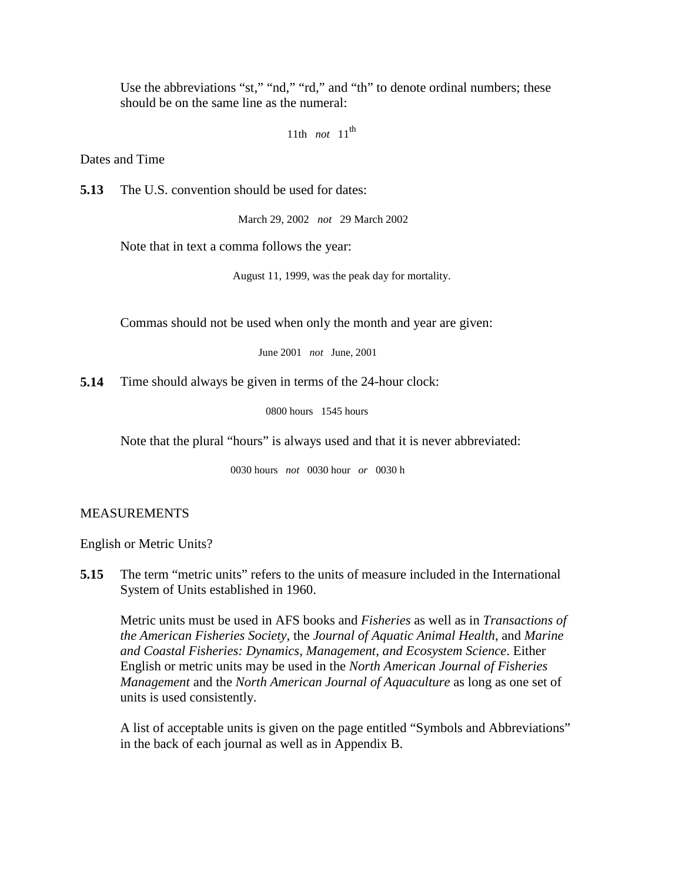Use the abbreviations "st," "nd," "rd," and "th" to denote ordinal numbers; these should be on the same line as the numeral:

```
11th not 11th
```
Dates and Time

**5.13** The U.S. convention should be used for dates:

March 29, 2002 *not* 29 March 2002

Note that in text a comma follows the year:

August 11, 1999, was the peak day for mortality.

Commas should not be used when only the month and year are given:

June 2001 *not* June, 2001

**5.14** Time should always be given in terms of the 24-hour clock:

0800 hours 1545 hours

Note that the plural "hours" is always used and that it is never abbreviated:

0030 hours *not* 0030 hour *or* 0030 h

### MEASUREMENTS

English or Metric Units?

**5.15** The term "metric units" refers to the units of measure included in the International System of Units established in 1960.

Metric units must be used in AFS books and *Fisheries* as well as in *Transactions of the American Fisheries Society*, the *Journal of Aquatic Animal Health*, and *Marine and Coastal Fisheries: Dynamics, Management, and Ecosystem Science*. Either English or metric units may be used in the *North American Journal of Fisheries Management* and the *North American Journal of Aquaculture* as long as one set of units is used consistently.

A list of acceptable units is given on the page entitled "Symbols and Abbreviations" in the back of each journal as well as in Appendix B.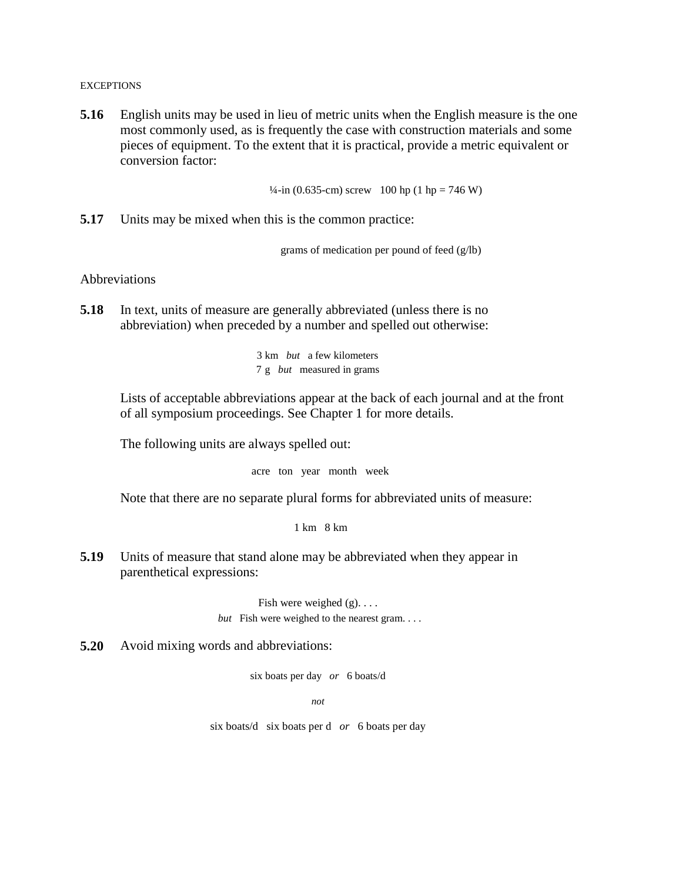**EXCEPTIONS** 

**5.16** English units may be used in lieu of metric units when the English measure is the one most commonly used, as is frequently the case with construction materials and some pieces of equipment. To the extent that it is practical, provide a metric equivalent or conversion factor:

 $\frac{1}{4}$ -in (0.635-cm) screw 100 hp (1 hp = 746 W)

**5.17** Units may be mixed when this is the common practice:

grams of medication per pound of feed (g/lb)

Abbreviations

**5.18** In text, units of measure are generally abbreviated (unless there is no abbreviation) when preceded by a number and spelled out otherwise:

> 3 km *but* a few kilometers 7 g *but* measured in grams

Lists of acceptable abbreviations appear at the back of each journal and at the front of all symposium proceedings. See Chapter 1 for more details.

The following units are always spelled out:

acre ton year month week

Note that there are no separate plural forms for abbreviated units of measure:

1 km 8 km

**5.19** Units of measure that stand alone may be abbreviated when they appear in parenthetical expressions:

> Fish were weighed (g). . . . *but* Fish were weighed to the nearest gram...

**5.20** Avoid mixing words and abbreviations:

six boats per day *or* 6 boats/d

*not*

six boats/d six boats per d *or* 6 boats per day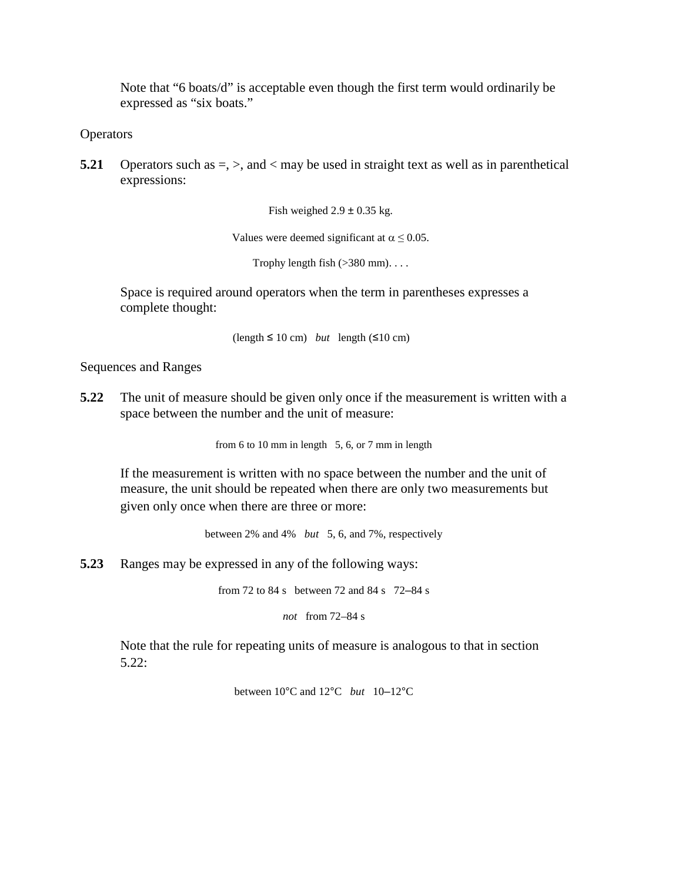Note that "6 boats/d" is acceptable even though the first term would ordinarily be expressed as "six boats."

**Operators** 

**5.21** Operators such as  $=$ ,  $>$ , and  $<$  may be used in straight text as well as in parenthetical expressions:

Fish weighed  $2.9 \pm 0.35$  kg.

Values were deemed significant at  $\alpha \leq 0.05$ .

Trophy length fish  $(>380$  mm)....

Space is required around operators when the term in parentheses expresses a complete thought:

 $(\text{length} \leq 10 \text{ cm})$  *but* length  $(\leq 10 \text{ cm})$ 

Sequences and Ranges

**5.22** The unit of measure should be given only once if the measurement is written with a space between the number and the unit of measure:

from 6 to 10 mm in length  $5, 6$ , or 7 mm in length

If the measurement is written with no space between the number and the unit of measure, the unit should be repeated when there are only two measurements but given only once when there are three or more:

between 2% and 4% *but* 5, 6, and 7%, respectively

**5.23** Ranges may be expressed in any of the following ways:

from 72 to 84 s between 72 and 84 s 72–84 s

*not* from 72–84 s

Note that the rule for repeating units of measure is analogous to that in section 5.22:

between 10°C and 12°C *but* 10–12°C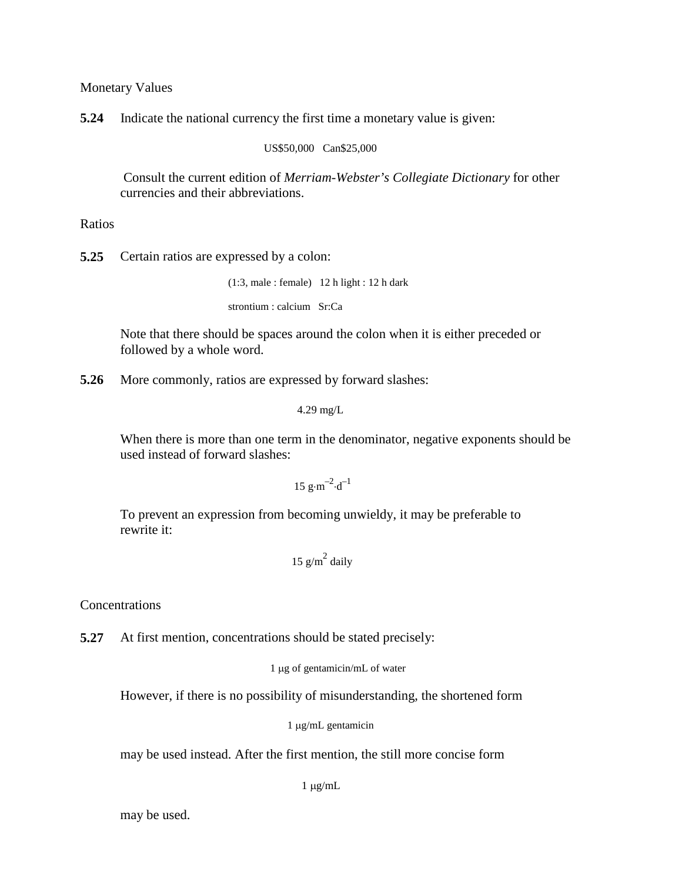Monetary Values

**5.24** Indicate the national currency the first time a monetary value is given:

US\$50,000 Can\$25,000

Consult the current edition of *Merriam-Webster's Collegiate Dictionary* for other currencies and their abbreviations.

Ratios

**5.25** Certain ratios are expressed by a colon:

(1:3, male : female) 12 h light : 12 h dark

strontium : calcium Sr:Ca

Note that there should be spaces around the colon when it is either preceded or followed by a whole word.

**5.26** More commonly, ratios are expressed by forward slashes:

4.29 mg/L

When there is more than one term in the denominator, negative exponents should be used instead of forward slashes:

 $15 g \cdot m^{-2} \cdot d^{-1}$ 

To prevent an expression from becoming unwieldy, it may be preferable to rewrite it:

$$
15 \text{ g/m}^2 \text{ daily}
$$

**Concentrations** 

**5.27** At first mention, concentrations should be stated precisely:

1 µg of gentamicin/mL of water

However, if there is no possibility of misunderstanding, the shortened form

1 µg/mL gentamicin

may be used instead. After the first mention, the still more concise form

 $1 \mu g/mL$ 

may be used.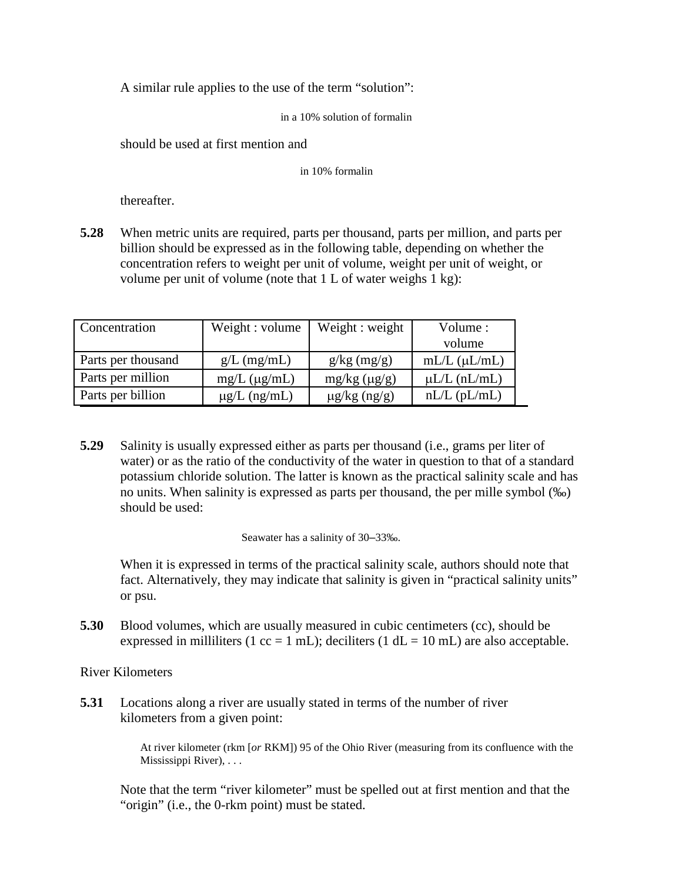A similar rule applies to the use of the term "solution":

in a 10% solution of formalin

should be used at first mention and

in 10% formalin

thereafter.

**5.28** When metric units are required, parts per thousand, parts per million, and parts per billion should be expressed as in the following table, depending on whether the concentration refers to weight per unit of volume, weight per unit of weight, or volume per unit of volume (note that 1 L of water weighs 1 kg):

| Concentration      | Weight : volume       | Weight : weight   | Volume:<br>volume     |
|--------------------|-----------------------|-------------------|-----------------------|
|                    |                       |                   |                       |
| Parts per thousand | $g/L$ (mg/mL)         | $g/kg \ (mg/g)$   | $mL/L$ ( $\mu L/mL$ ) |
| Parts per million  | $mg/L$ ( $\mu g/mL$ ) | mg/kg (µg/g)      | $\mu L/L$ (nL/mL)     |
| Parts per billion  | $\mu$ g/L (ng/mL)     | $\mu$ g/kg (ng/g) | $nL/L$ ( $pL/mL$ )    |

**5.29** Salinity is usually expressed either as parts per thousand (i.e., grams per liter of water) or as the ratio of the conductivity of the water in question to that of a standard potassium chloride solution. The latter is known as the practical salinity scale and has no units. When salinity is expressed as parts per thousand, the per mille symbol (‰) should be used:

Seawater has a salinity of 30–33‰.

When it is expressed in terms of the practical salinity scale, authors should note that fact. Alternatively, they may indicate that salinity is given in "practical salinity units" or psu.

**5.30** Blood volumes, which are usually measured in cubic centimeters (cc), should be expressed in milliliters (1 cc = 1 mL); deciliters (1 dL = 10 mL) are also acceptable.

River Kilometers

**5.31** Locations along a river are usually stated in terms of the number of river kilometers from a given point:

> At river kilometer (rkm [*or* RKM]) 95 of the Ohio River (measuring from its confluence with the Mississippi River), . . .

Note that the term "river kilometer" must be spelled out at first mention and that the "origin" (i.e., the 0-rkm point) must be stated.